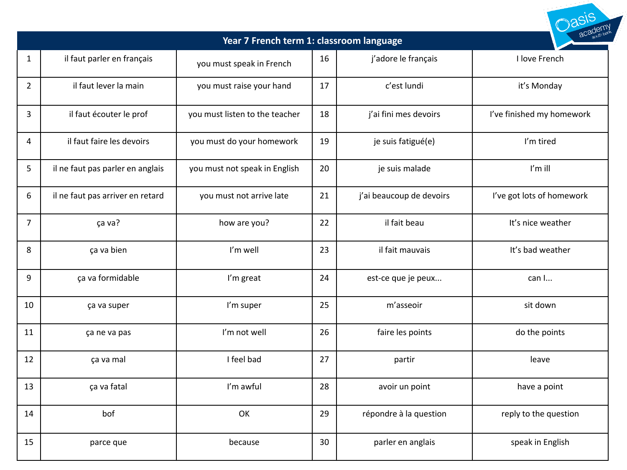| Year 7 French term 1: classroom language |                                  |                                |    |                          |                           |  |  |  |
|------------------------------------------|----------------------------------|--------------------------------|----|--------------------------|---------------------------|--|--|--|
| $\mathbf{1}$                             | il faut parler en français       | you must speak in French       | 16 | j'adore le français      | I love French             |  |  |  |
| $\overline{2}$                           | il faut lever la main            | you must raise your hand       | 17 | c'est lundi              | it's Monday               |  |  |  |
| 3                                        | il faut écouter le prof          | you must listen to the teacher | 18 | j'ai fini mes devoirs    | I've finished my homework |  |  |  |
| 4                                        | il faut faire les devoirs        | you must do your homework      | 19 | je suis fatigué(e)       | I'm tired                 |  |  |  |
| 5                                        | il ne faut pas parler en anglais | you must not speak in English  | 20 | je suis malade           | I'm ill                   |  |  |  |
| 6                                        | il ne faut pas arriver en retard | you must not arrive late       | 21 | j'ai beaucoup de devoirs | I've got lots of homework |  |  |  |
| $\overline{7}$                           | ça va?                           | how are you?                   | 22 | il fait beau             | It's nice weather         |  |  |  |
| 8                                        | ça va bien                       | I'm well                       | 23 | il fait mauvais          | It's bad weather          |  |  |  |
| 9                                        | ça va formidable                 | I'm great                      | 24 | est-ce que je peux       | can I                     |  |  |  |
| 10                                       | ça va super                      | I'm super                      | 25 | m'asseoir                | sit down                  |  |  |  |
| 11                                       | ça ne va pas                     | I'm not well                   | 26 | faire les points         | do the points             |  |  |  |
| 12                                       | ça va mal                        | I feel bad                     | 27 | partir                   | leave                     |  |  |  |
| 13                                       | ça va fatal                      | I'm awful                      | 28 | avoir un point           | have a point              |  |  |  |
| 14                                       | bof                              | OK                             | 29 | répondre à la question   | reply to the question     |  |  |  |
| 15                                       | parce que                        | because                        | 30 | parler en anglais        | speak in English          |  |  |  |